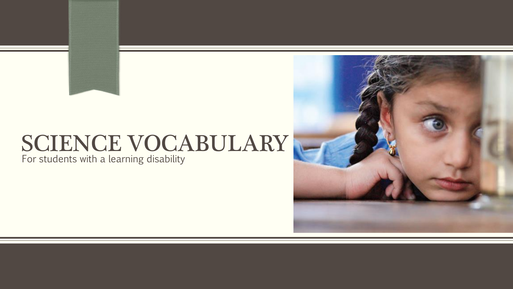# SCIENCE VOCABULARY

For students with a learning disability

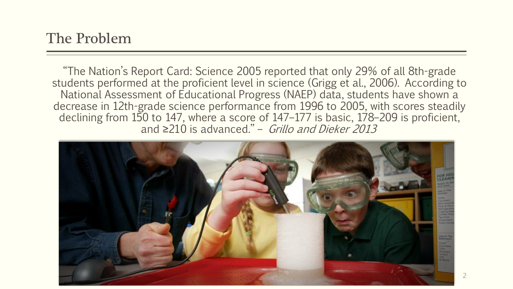"The Nation's Report Card: Science 2005 reported that only 29% of all 8th-grade students performed at the proficient level in science (Grigg et al., 2006). According to National Assessment of Educational Progress (NAEP) data, students have shown a decrease in 12th-grade science performance from 1996 to 2005, with scores steadily declining from 150 to 147, where a score of 147–177 is basic, 178–209 is proficient, and  $\geq$ 210 is advanced." – Grillo and Dieker 2013

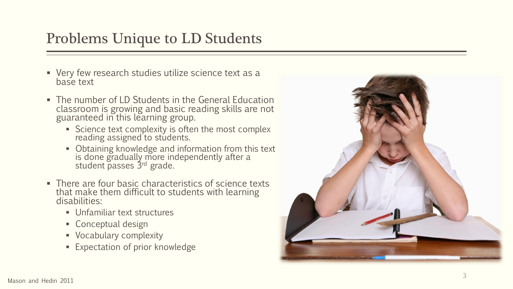### Problems Unique to LD Students

- Very few research studies utilize science text as a base text
- The number of LD Students in the General Education classroom is growing and basic reading skills are not guaranteed in this learning group.
	- Science text complexity is often the most complex reading assigned to students.
	- **Dianuily** 10 Obtaining knowledge and information from this text is done gradually more independently after a student passes 3rd grade.
- There are four basic characteristics of science texts that make them difficult to students with learning disabilities:
	- Unfamiliar text structures
	- Conceptual design
	- Vocabulary complexity
	- Expectation of prior knowledge

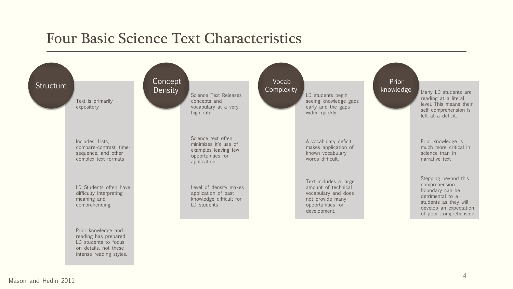#### Four Basic Science Text Characteristics

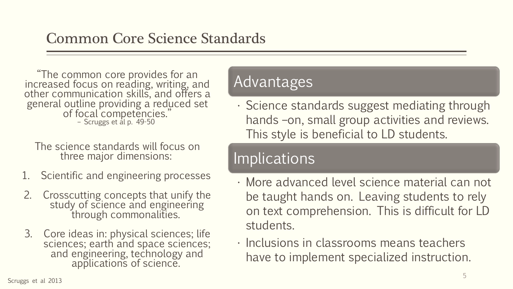"The common core provides for an increased focus on reading, writing, and other communication skills, and offers a general outline providing a reduced set of focal competencies." – Scruggs et al p. 49-50

The science standards will focus on three major dimensions:

- 1. Scientific and engineering processes
- 2. Crosscutting concepts that unify the study of science and engineering through commonalities.
- 3. Core ideas in: physical sciences; life sciences; earth and space sciences; and engineering, technology and applications of science.

#### Advantages

• Science standards suggest mediating through hands –on, small group activities and reviews. This style is beneficial to LD students.

### **Implications**

- More advanced level science material can not be taught hands on. Leaving students to rely on text comprehension. This is difficult for LD students.
- Inclusions in classrooms means teachers have to implement specialized instruction.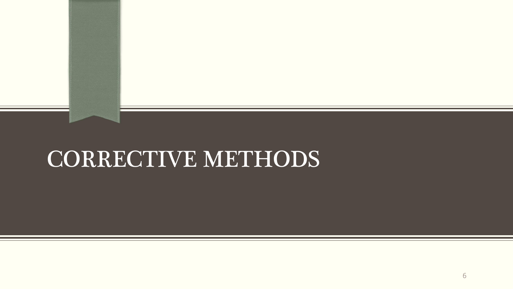## CORRECTIVE METHODS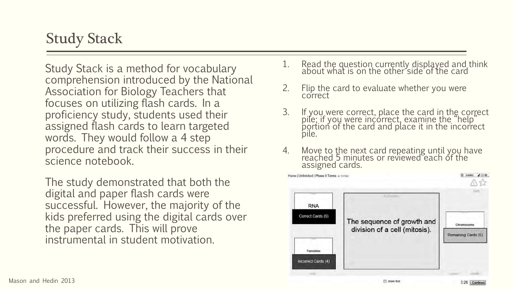### Study Stack

Study Stack is a method for vocabulary comprehension introduced by the National Association for Biology Teachers that focuses on utilizing flash cards. In a proficiency study, students used their assigned flash cards to learn targeted words. They would follow a 4 step procedure and track their success in their science notebook.

The study demonstrated that both the digital and paper flash cards were successful. However, the majority of the kids preferred using the digital cards over the paper cards. This will prove instrumental in student motivation.

- 1. Read the question currently displayed and think about what is on the other side of the card
- 2. Flip the card to evaluate whether you were correct
- 3. If you were correct, place the card in the correct pile; if you were incorrect, examine the "help" portion of the card and place it in the incorrect pile.
- 4. Move to the next card repeating until you have reached 5 minutes or reviewed each of the assigned cards.

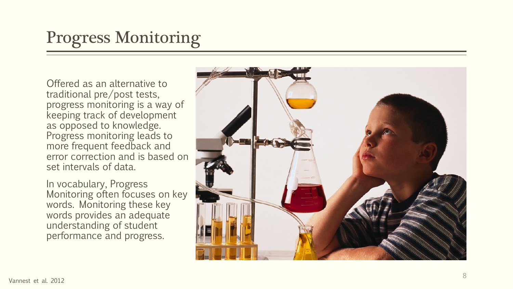### Progress Monitoring

Offered as an alternative to traditional pre/post tests, progress monitoring is a way of keeping track of development as opposed to knowledge. Progress monitoring leads to more frequent feedback and error correction and is based on set intervals of data.

In vocabulary, Progress Monitoring often focuses on key words. Monitoring these key words provides an adequate understanding of student performance and progress.

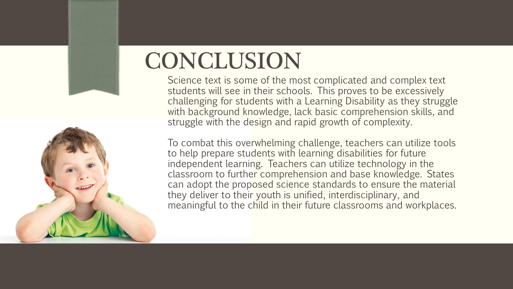## **CONCLUSION**

Science text is some of the most complicated and complex text students will see in their schools. This proves to be excessively challenging for students with a Learning Disability as they struggle with background knowledge, lack basic comprehension skills, and struggle with the design and rapid growth of complexity.

To combat this overwhelming challenge, teachers can utilize tools to help prepare students with learning disabilities for future independent learning. Teachers can utilize technology in the classroom to further comprehension and base knowledge. States can adopt the proposed science standards to ensure the material they deliver to their youth is unified, interdisciplinary, and meaningful to the child in their future classrooms and workplaces.